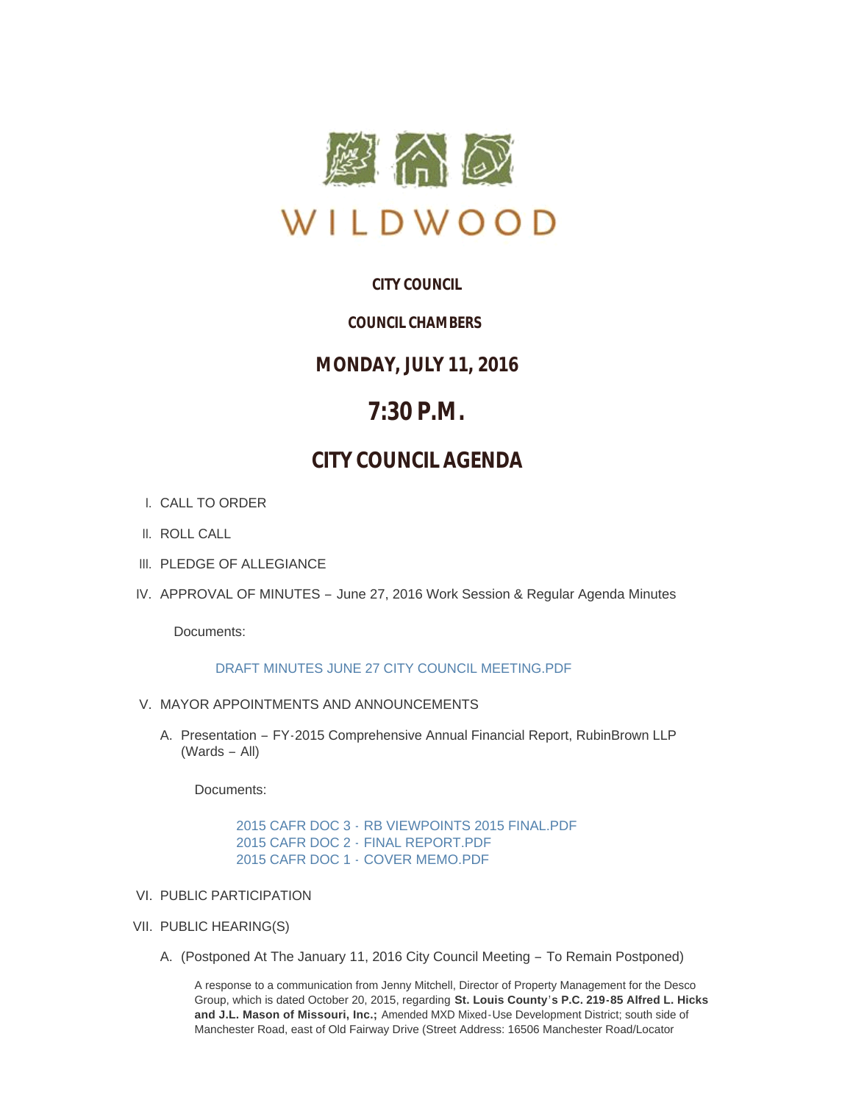

# **CITY COUNCIL**

# *COUNCIL CHAMBERS*

# **MONDAY, JULY 11, 2016**

# **7:30 P.M.**

# **CITY COUNCIL AGENDA**

- CALL TO ORDER I.
- II. ROLL CALL
- III. PLEDGE OF ALLEGIANCE
- IV. APPROVAL OF MINUTES June 27, 2016 Work Session & Regular Agenda Minutes

Documents:

# [DRAFT MINUTES JUNE 27 CITY COUNCIL MEETING.PDF](http://mo-wildwood.civicplus.com/AgendaCenter/ViewFile/Item/7549?fileID=11215)

- V. MAYOR APPOINTMENTS AND ANNOUNCEMENTS
	- A. Presentation FY-2015 Comprehensive Annual Financial Report, RubinBrown LLP (Wards – All)

Documents:

2015 CAFR DOC 3 - [RB VIEWPOINTS 2015 FINAL.PDF](http://mo-wildwood.civicplus.com/AgendaCenter/ViewFile/Item/7551?fileID=11216) 2015 CAFR DOC 2 - [FINAL REPORT.PDF](http://mo-wildwood.civicplus.com/AgendaCenter/ViewFile/Item/7551?fileID=11224) 2015 CAFR DOC 1 - [COVER MEMO.PDF](http://mo-wildwood.civicplus.com/AgendaCenter/ViewFile/Item/7551?fileID=11225)

- VI. PUBLIC PARTICIPATION
- VII. PUBLIC HEARING(S)
	- A. (Postponed At The January 11, 2016 City Council Meeting To Remain Postponed)

A response to a communication from Jenny Mitchell, Director of Property Management for the Desco Group, which is dated October 20, 2015, regarding **St. Louis County's P.C. 219-85 Alfred L. Hicks and J.L. Mason of Missouri, Inc.;** Amended MXD Mixed-Use Development District; south side of Manchester Road, east of Old Fairway Drive (Street Address: 16506 Manchester Road/Locator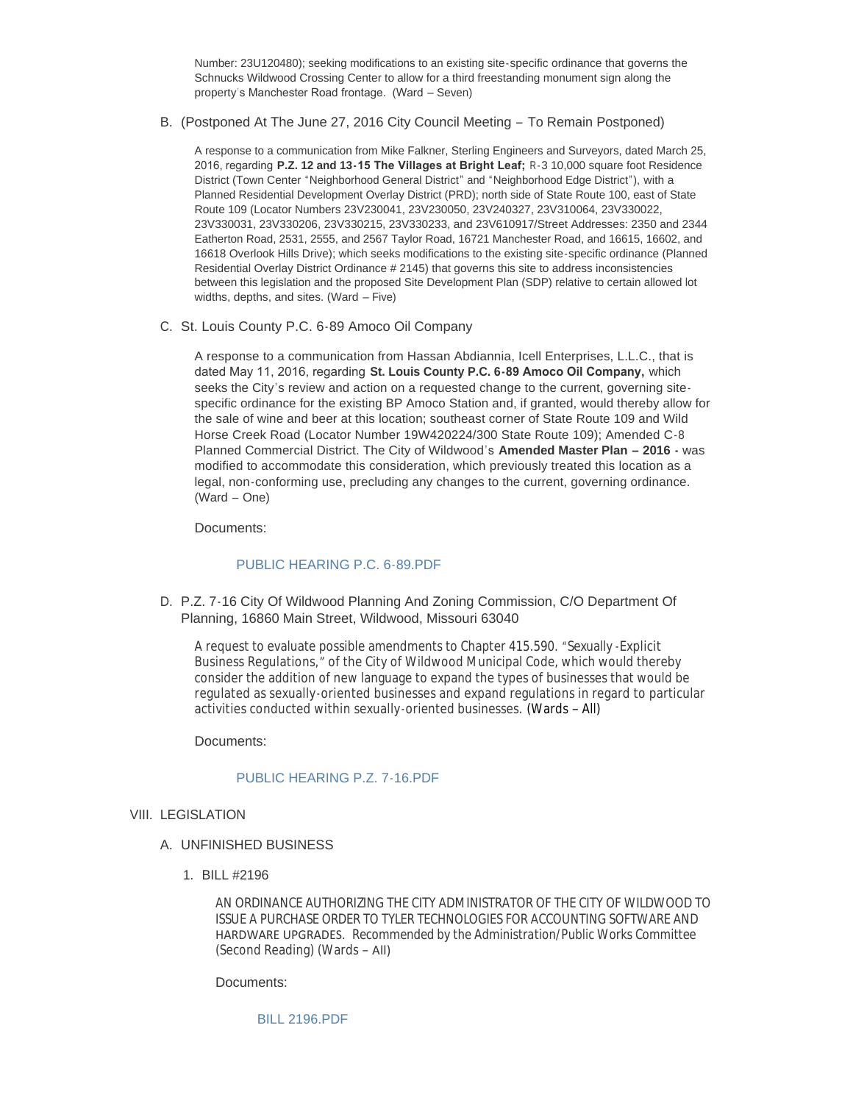Number: 23U120480); seeking modifications to an existing site-specific ordinance that governs the Schnucks Wildwood Crossing Center to allow for a third freestanding monument sign along the property's Manchester Road frontage. (Ward – Seven)

B. (Postponed At The June 27, 2016 City Council Meeting - To Remain Postponed)

A response to a communication from Mike Falkner, Sterling Engineers and Surveyors, dated March 25, 2016, regarding **P.Z. 12 and 13-15 The Villages at Bright Leaf;** R-3 10,000 square foot Residence District (Town Center "Neighborhood General District" and "Neighborhood Edge District"), with a Planned Residential Development Overlay District (PRD); north side of State Route 100, east of State Route 109 (Locator Numbers 23V230041, 23V230050, 23V240327, 23V310064, 23V330022, 23V330031, 23V330206, 23V330215, 23V330233, and 23V610917/Street Addresses: 2350 and 2344 Eatherton Road, 2531, 2555, and 2567 Taylor Road, 16721 Manchester Road, and 16615, 16602, and 16618 Overlook Hills Drive); which seeks modifications to the existing site-specific ordinance (Planned Residential Overlay District Ordinance # 2145) that governs this site to address inconsistencies between this legislation and the proposed Site Development Plan (SDP) relative to certain allowed lot widths, depths, and sites. (Ward – Five)

C. St. Louis County P.C. 6-89 Amoco Oil Company

A response to a communication from Hassan Abdiannia, Icell Enterprises, L.L.C., that is dated May 11, 2016, regarding **St. Louis County P.C. 6-89 Amoco Oil Company,** which seeks the City's review and action on a requested change to the current, governing sitespecific ordinance for the existing BP Amoco Station and, if granted, would thereby allow for the sale of wine and beer at this location; southeast corner of State Route 109 and Wild Horse Creek Road (Locator Number 19W420224/300 State Route 109); Amended C-8 Planned Commercial District. The City of Wildwood's **Amended Master Plan – 2016 -** was modified to accommodate this consideration, which previously treated this location as a legal, non-conforming use, precluding any changes to the current, governing ordinance. (Ward – One)

Documents:

## [PUBLIC HEARING P.C. 6-89.PDF](http://mo-wildwood.civicplus.com/AgendaCenter/ViewFile/Item/7556?fileID=11219)

D. P.Z. 7-16 City Of Wildwood Planning And Zoning Commission, C/O Department Of Planning, 16860 Main Street, Wildwood, Missouri 63040

A request to evaluate possible amendments to Chapter 415.590. "Sexually -Explicit Business Regulations, " of the City of Wildwood Municipal Code, which would thereby consider the addition of new language to expand the types of businesses that would be regulated as sexually-oriented businesses and expand regulations in regard to particular activities conducted within sexually-oriented businesses. (Wards – All)

Documents:

## PUBLIC HEARING P.Z. 7-16 PDF

- VIII. LEGISLATION
	- UNFINISHED BUSINESS A.
		- BILL #2196 1.

AN ORDINANCE AUTHORIZING THE CITY ADMINISTRATOR OF THE CITY OF WILDWOOD TO ISSUE A PURCHASE ORDER TO TYLER TECHNOLOGIES FOR ACCOUNTING SOFTWARE AND HARDWARE UPGRADES. *Recommended by the Administration/Public Works Committee* (Second Reading) (Wards – All)

Documents:

[BILL 2196.PDF](http://mo-wildwood.civicplus.com/AgendaCenter/ViewFile/Item/7561?fileID=11217)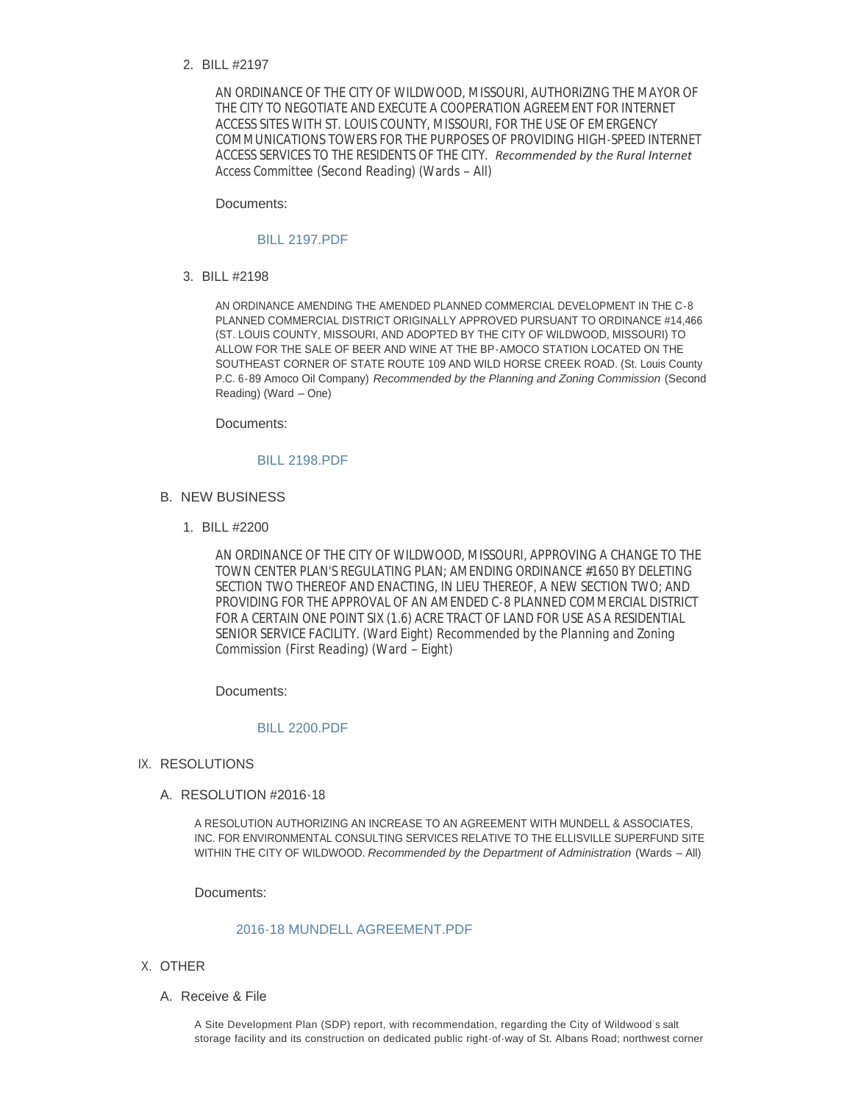BILL #2197 2.

AN ORDINANCE OF THE CITY OF WILDWOOD, MISSOURI, AUTHORIZING THE MAYOR OF THE CITY TO NEGOTIATE AND EXECUTE A COOPERATION AGREEMENT FOR INTERNET ACCESS SITES WITH ST. LOUIS COUNTY, MISSOURI, FOR THE USE OF EMERGENCY COMMUNICATIONS TOWERS FOR THE PURPOSES OF PROVIDING HIGH-SPEED INTERNET ACCESS SERVICES TO THE RESIDENTS OF THE CITY. *Recommended by the Rural Internet Access Committee* (Second Reading) (Wards – All)

Documents:

#### [BILL 2197.PDF](http://mo-wildwood.civicplus.com/AgendaCenter/ViewFile/Item/7562?fileID=11220)

BILL #2198 3.

AN ORDINANCE AMENDING THE AMENDED PLANNED COMMERCIAL DEVELOPMENT IN THE C-8 PLANNED COMMERCIAL DISTRICT ORIGINALLY APPROVED PURSUANT TO ORDINANCE #14,466 (ST. LOUIS COUNTY, MISSOURI, AND ADOPTED BY THE CITY OF WILDWOOD, MISSOURI) TO ALLOW FOR THE SALE OF BEER AND WINE AT THE BP-AMOCO STATION LOCATED ON THE SOUTHEAST CORNER OF STATE ROUTE 109 AND WILD HORSE CREEK ROAD. (St. Louis County P.C. 6-89 Amoco Oil Company) *Recommended by the Planning and Zoning Commission* (Second Reading) (Ward – One)

Documents:

#### [BILL 2198.PDF](http://mo-wildwood.civicplus.com/AgendaCenter/ViewFile/Item/7563?fileID=11221)

- **B. NEW BUSINESS** 
	- BILL #2200 1.

AN ORDINANCE OF THE CITY OF WILDWOOD, MISSOURI, APPROVING A CHANGE TO THE TOWN CENTER PLAN'S REGULATING PLAN; AMENDING ORDINANCE #1650 BY DELETING SECTION TWO THEREOF AND ENACTING, IN LIEU THEREOF, A NEW SECTION TWO; AND PROVIDING FOR THE APPROVAL OF AN AMENDED C-8 PLANNED COMMERCIAL DISTRICT FOR A CERTAIN ONE POINT SIX (1.6) ACRE TRACT OF LAND FOR USE AS A RESIDENTIAL SENIOR SERVICE FACILITY. (Ward Eight) *Recommended by the Planning and Zoning Commission* (First Reading) (Ward – Eight)

Documents:

# [BILL 2200.PDF](http://mo-wildwood.civicplus.com/AgendaCenter/ViewFile/Item/7564?fileID=11222)

- IX. RESOLUTIONS
	- A. RESOLUTION #2016-18

A RESOLUTION AUTHORIZING AN INCREASE TO AN AGREEMENT WITH MUNDELL & ASSOCIATES, INC. FOR ENVIRONMENTAL CONSULTING SERVICES RELATIVE TO THE ELLISVILLE SUPERFUND SITE WITHIN THE CITY OF WILDWOOD. *Recommended by the Department of Administration* (Wards – All)

Documents:

### [2016-18 MUNDELL AGREEMENT.PDF](http://mo-wildwood.civicplus.com/AgendaCenter/ViewFile/Item/7566?fileID=11223)

- X. OTHER
	- A. Receive & File

A Site Development Plan (SDP) report, with recommendation, regarding the City of Wildwood's salt storage facility and its construction on dedicated public right-of-way of St. Albans Road; northwest corner